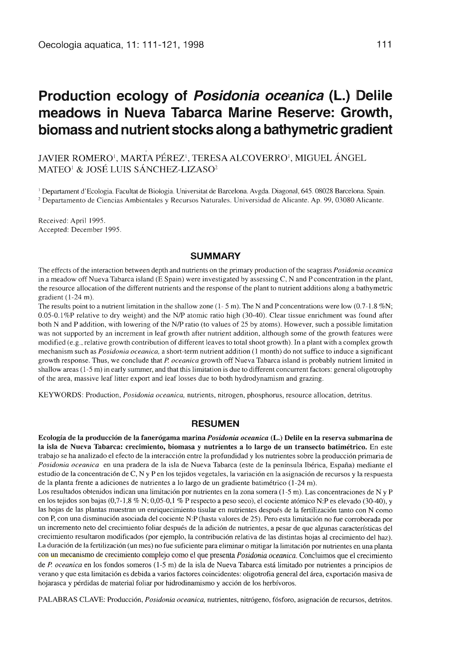# **Production ecology of** *Posidonia oceanica* **(L.) Delile meadows in Nueva Tabarca Marine Reserve: Growth, biomass and nutrient stocks along a bathymetric gradient**

## JAVIER ROMERO<sup>1</sup>, MARTA PÉREZ<sup>1</sup>, TERESA ALCOVERRO<sup>1</sup>, MIGUEL ÁNGEL MATEO' & JOSÉ LUIS SÁNCHEZ-LIZAS02

' Departament d'Ecologia. Facultat de Biologia. Universitat de Barcelona. Avgda. Diagonal, 645. 08028 Barcelona. Spain. 2 Departamento de Ciencias Ambientales y Recursos Naturales. Universidad de Alicante. Ap. 99, 03080 Alicante.

Received: April 1995. Accepted: December 1995.

#### **SUMMARY**

The effects of the interaction between depth and nutrients on the primary production of the seagrass *Posidonia oceanica* in a meadow off Nueva Tabarca island (E Spain) were investigated by assessing C, N and P concentration in the plant, the resource allocation of the different nutrients and the response of the plant to nutrient additions along a bathymetric gradient (1-24 m).

The results point to a nutrient limitation in the shallow zone  $(1 - 5 m)$ . The N and P concentrations were low  $(0.7 - 1.8 \%)$ ; 0.05-0.1%P relative to dry weight) and the N/P atomic ratio high (30-40). Clear tissue enrichment was found after both N and P addition, with lowering of the N/P ratio (to values of 25 by atoms). However, such a possible limitation was not supported by an increment in leaf growth after nutrient addition, although some of the growth features were modified (e.g., relative growth contribution of different leaves to total shoot growth). In a plant with a complex growth mechanism such as *Posidonia oceanica,* a short-term nutrient addition (1 month) do not suffice to induce a significant growth response. Thus, we conclude that *P. oceanica* growth off Nueva Tabarca island is probably nutrient limited in shallow areas (1-5 m) in early summer, and that this limitation is due to different concurrent factors: general oligotrophy of the area, massive leaf litter export and leaf losses due to both hydrodynamism and grazing.

KEYWORDS: Production, *Posidonia oceanica,* nutrients, nitrogen, phosphorus, resource allocation, detritus.

#### **RESUMEN**

**Ecología de la producción de la fanerógama marina** *Posidonia oceanica* **(L.) Delile en la reserva submarina de la isla de Nueva Tabarca: crecimiento, biomasa** y **nutrientes a lo largo de un transecto batimétrico.** En este trabajo se ha analizado el efecto de la interacción entre la profundidad y los nutrientes sobre la producción primaria de *Posidonia oceanica* en una pradera de la isla de Nueva Tabarca (este de la península Ibérica, España) mediante el estudio de la concentración de C, N y P en los tejidos vegetales, la variación en la asignación de recursos y la respuesta de la planta frente a adiciones de nutrientes a lo largo de un gradiente batimétrico (1-24 m).

Los resultados obtenidos indican una limitación por nutrientes en la zona somera (1-5 m). Las concentraciones de N y P en los tejidos son bajas (0,7-1,8 % N; 0,05-0,1 % P respecto a peso seco), el cociente atómico N:P es elevado (30-40), y las hojas de las plantas muestran un enriquecimiento tisular en nutrientes después de la fertilización tanto con N como con P, con una disminución asociada del cociente N:P (hasta valores de 25). Pero esta limitación no fue corroborada por un incremento neto del crecimiento foliar después de la adición de nutrientes, a pesar de que algunas características del crecimiento resultaron modificados (por ejemplo, la contribución relativa de las distintas hojas al crecimiento del haz). La duración de la fertilización (un mes) no fue suficiente para eliminar o mitigar la limitación por nutrientes en una planta con un mecanismo de crecimiento complejo como el que presenta *Posidonia oceanica.* Concluimos que el crecimiento de *P oceanica* en los fondos someros (1-5 m) de la isla de Nueva Tabarca está limitado por nutrientes a principios de verano y que esta limitación es debida a varios factores coincidentes: oligotrofia general del área, exportación masiva de hojarasca y pérdidas de material foliar por hidrodinamismo y acción de los herbívoros.

PALABRAS CLAVE: Producción, *Posidonia oceanica,* nutrientes, nitrógeno, fósforo, asignación de recursos, detritos.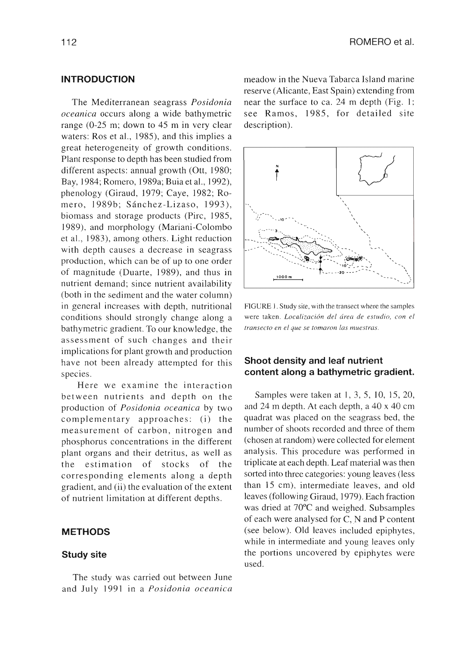## **INTRODUCTION**

The Mediterranean seagrass *Posidonia oceanica* occurs along a wide bathymetric range (0-25 m; down to 45 m in very clear waters: Ros et al., 1985), and this implies a great heterogeneity of growth conditions. Plant response to depth has been studied from different aspects: annual growth (Ott, 1980; Bay, 1984; Romero, 1989a; Buia et al., 1992), phenology (Giraud, 1979; Caye, 1982; Romero, 1989b; Sánchez-Lizaso, 1993), biomass and storage products (Pire, 1985, 1989), and morphology (Mariani-Colombo et al., 1983), among others. Light reduction with depth causes a decrease in seagrass production, which can be of up to one order of magnitude (Duarte, 1989), and thus in nutrient demand; since nutrient availability (both in the sediment and the water column) in general increases with depth, nutritional conditions should strongly change along a bathymetric gradient. To our knowledge, the assessment of such changes and their implications for plant growth and production have not been already attempted for this species.

Here we examine the interaction between nutrients and depth on the production of *Posidonia oceanica* by two complementary approaches: (i) the measurement of carbón, nitrogen and phosphorus concentrations in the different plant organs and their detritus, as well as the estimation of stocks of the corresponding elements along a depth gradient, and (ii) the evaluation of the extent of nutrient limitation at different depths.

#### **METHODS**

#### **Study site**

The study was carried out between June and July 1991 in a *Posidonia oceanica* meadow in the Nueva Tabarca Island marine reserve (Alicante, East Spain) extending from near the surface to ca. 24 m depth (Fig. 1; see Ramos, 1985, for detailed site description).



FIGURE 1. Study site, with the transect where the samples were taken. *Localización del área de estudio, con el transecto en el que se tomaron las muestras.*

## **Shoot density and leaf nutrient content along a bathymetric gradient.**

Samples were taken at 1, 3, 5, 10, 15, 20, and 24 m depth. At each depth, a 40 x 40 cm quadrat was placed on the seagrass bed, the number of shoots recorded and three of them (chosen at random) were collected for element analysis. This procedure was performed in triplicate at each depth. Leaf material was then sorted into three categories: young leaves (less than 15 cm), intermediate leaves, and old leaves (following Giraud, 1979). Each fraction was dried at 70°C and weighed. Subsamples of each were analysed for C, N and P content (see below). Old leaves included epiphytes, while in intermediate and young leaves only the portions uncovered by epiphytes were used.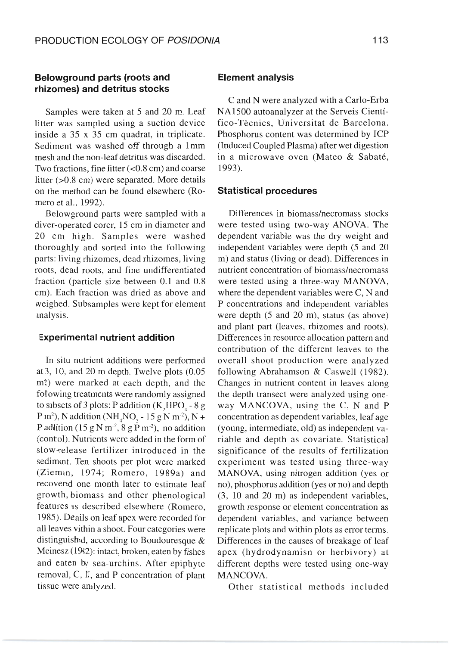## **Belowground parts (roots and rhizomes) and detritus stocks**

Samples were taken at 5 and 20 m. Leaf litter was sampled using a suction device inside a  $35 \times 35$  cm quadrat, in triplicate. Sediment was washed off through a 1mm mesh and the non-leaf detritus was discarded. Two fractions, fine litter  $( $0.8 \text{ cm}$ )$  and coarse litter (>0.8 cm) were separated. More details on the method can be found elsewhere (Romero et al., 1992).

Belowground parts were sampled with a diver-operated corer, 15 cm in diameter and 20 cm high. Samples were washed thoroughly and sorted into the following parts: living rhizomes, dead rhizomes, living roots, dead roots, and fine undifferentiated fraction (particle size between 0.1 and 0.8 cm). Each fraction was dried as above and weighed. Subsamples were kept for element inalysis.

#### **Experimental nutrient addition**

In situ nutrient additions were performed at 3, 10, and 20 m depth. Twelve plots (0.05 m?) were marked at each depth, and the folowing treatments were randomly assigned to sibsets of 3 plots: P addition  $(K, HPO, -8 g)$ P m<sup>2</sup>), N addition (NH<sub>4</sub>NO<sub>3</sub> - 15 g N m<sup>-2</sup>), N + P addition (15 g N m<sup>-2</sup>, 8 g P m<sup>-2</sup>), no addition (control). Nutrients were added in the form of slow-release fertilizer introduced in the sediment. Ten shoots per plot were marked (Ziemm, 1974; Romero, 1989a) and recovend one month later to estimate leaf growth, biomass and other phenological features as described elsewhere (Romero, 1985). Deails on leaf apex were recorded for all leaves vithin a shoot. Four categories were distinguished, according to Boudouresque & Meinesz (1982): intact, broken, eaten by fishes and eaten by sea-urchins. After epiphyte removal, C, Il, and P concentration of plant tissue were arnlyzed.

#### **Element analysis**

C and N were analyzed with a Carlo-Erba NA1500 autoanalyzer at the Serveis Científico-Técnics, Universitat de Barcelona. Phosphorus content was determined by ICP (Induced Coupled Plasma) after wet digestion in a microwave oven (Mateo & Sabaté, 1993).

#### **Statistical procedures**

Differences in biomass/necromass stocks were tested using two-way ANOVA. The dependent variable was the dry weight and independent variables were depth (5 and 20 m) and status (living or dead). Differences in nutrient concentration of biomass/necromass were tested using a three-way MANOVA, where the dependent variables were C, N and P concentrations and independent variables were depth (5 and 20 m), status (as above) and plant part (leaves, rhizomes and roots). Differences in resource allocation pattern and contribution of the different leaves to the overall shoot production were analyzed following Abrahamson & Caswell (1982). Changes in nutrient content in leaves along the depth transect were analyzed using oneway MANCOVA, using the C, N and P concentration as dependent variables, leaf age (young, intermediate, old) as independent variable and depth as covariate. Statistical significance of the results of fertilization experiment was tested using three-way MANOVA, using nitrogen addition (yes or no), phosphorus addition (yes orno) and depth (3, 10 and 20 m) as independent variables, growth response or element concentration as dependent variables, and variance between replicate plots and within plots as error terms. Differences in the causes of breakage of leaf apex (hydrodynamisn or herbivory) at different depths were tested using one-way MANCOVA.

Other statistical methods included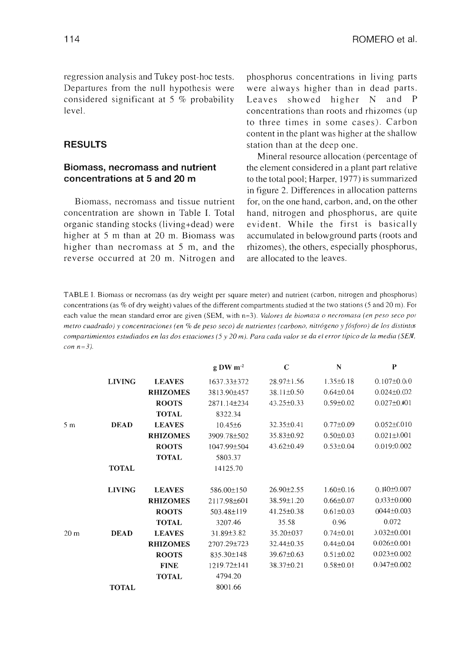regression analysis and Tukey post-hoc tests. Departures from the null hypothesis were considered significant at 5 % probability level

## **RESULTS**

## **Biomass, necromass and nutrient concentrations at 5 and 20 m**

Biomass, necromass and tissue nutrient concentration are shown in Table I. Total organic standing stocks (living+dead) were higher at 5 m than at 20 m. Biomass was higher than necromass at 5 m, and the reverse occurred at 20 m. Nitrogen and phosphorus concentrations in living parts were always higher than in dead parts. Leaves showed higher N and P concentrations than roots and rhizomes (up to three times in some cases). Carbon content in the plant was higher at the shallow station than at the deep one.

Mineral resource allocation (percentage of the element considered in a plant part relative to the total pool; Harper, 1977) is summarized in figure 2. Differences in allocation patterns for, on the one hand, carbon, and, on the other hand, nitrogen and phosphorus, are quite evident. While the first is basically accumulated in belowground parts (roots and rhizomes), the others, especially phosphorus, are allocated to the leaves.

TABLE I. Biomass or necromass (as dry weight per square meter) and nutrient (carbon, nitrogen and phosphorus) concentrations (as % of dry weight) values of the different compartments studied at the two stations (5 and 20 m). Foi each value the mean standard error are given (SEM, with n=3). *Valores de biomasa o necromasa (en peso seco por metro cuadrado) y concentraciones (en % de peso seco) de nutrientes (carbono, nitrógeno* y *fósforo) de los distintos compartimientos estudiados en las dos estaciones (5 y 20 m). Para cada valor se da el error típico de la media (SEM, con n=3).*

|                 |               |                 | $g$ DW m <sup>-2</sup> | $\mathbf C$      | N               | $\bf{P}$          |
|-----------------|---------------|-----------------|------------------------|------------------|-----------------|-------------------|
|                 | <b>LIVING</b> | <b>LEAVES</b>   | $1637.33 \pm 372$      | $28.97 \pm 1.56$ | $1.35 \pm 0.18$ | $0.107 \pm 0.010$ |
|                 |               | <b>RHIZOMES</b> | 3813.90±457            | $38.11 \pm 0.50$ | $0.64 \pm 0.04$ | $0.024 \pm 0.002$ |
|                 |               | <b>ROOTS</b>    | 2871.14±234            | $43.25 \pm 0.33$ | $0.59 \pm 0.02$ | $0.027 \pm 0.001$ |
|                 |               | <b>TOTAL</b>    | 8322.34                |                  |                 |                   |
| 5 <sub>m</sub>  | <b>DEAD</b>   | <b>LEAVES</b>   | $10.45\pm 6$           | $32.35 \pm 0.41$ | $0.77 \pm 0.09$ | $0.052 \pm 0.010$ |
|                 |               | <b>RHIZOMES</b> | 3909.78±502            | $35.83 \pm 0.92$ | $0.50 \pm 0.03$ | $0.021 \pm 0.001$ |
|                 |               | <b>ROOTS</b>    | 1047.99±504            | $43.62 \pm 0.49$ | $0.53 \pm 0.04$ | 0.019:0.002       |
|                 |               | <b>TOTAL</b>    | 5803.37                |                  |                 |                   |
|                 | <b>TOTAL</b>  |                 | 14125.70               |                  |                 |                   |
|                 | <b>LIVING</b> | <b>LEAVES</b>   | 586.00±150             | $26.90 \pm 2.55$ | $1.60 \pm 0.16$ | $0.140 \pm 0.007$ |
|                 |               | <b>RHIZOMES</b> | 2117.98±601            | 38.59±1.20       | $0.66 \pm 0.07$ | $0.333 \pm 0.000$ |
|                 |               | <b>ROOTS</b>    | 503.48±119             | $41.25 \pm 0.38$ | $0.61 \pm 0.03$ | $0044 \pm 0.003$  |
|                 |               | <b>TOTAL</b>    | 3207.46                | 35.58            | 0.96            | 0.072             |
| 20 <sub>m</sub> | <b>DEAD</b>   | <b>LEAVES</b>   | 31.89±3.82             | 35.20±037        | $0.74 \pm 0.01$ | $0.032 \pm 0.001$ |
|                 |               | <b>RHIZOMES</b> | 2707.29±723            | 32.44±0.35       | $0.44 \pm 0.04$ | $0.026 \pm 0.001$ |
|                 |               | <b>ROOTS</b>    | 835.30±148             | $39.67 \pm 0.63$ | $0.51 \pm 0.02$ | $0.023 \pm 0.002$ |
|                 |               | <b>FINE</b>     | 1219.72±141            | 38.37±0.21       | $0.58 \pm 0.01$ | $0.047 \pm 0.002$ |
|                 |               | <b>TOTAL</b>    | 4794.20                |                  |                 |                   |
|                 | <b>TOTAL</b>  |                 | 8001.66                |                  |                 |                   |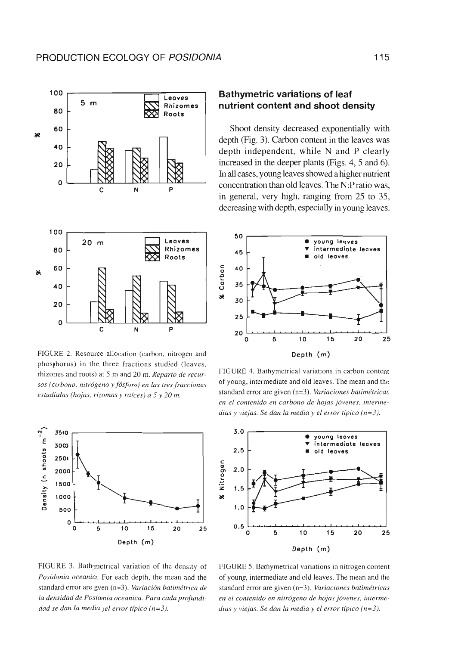

FIGURE 2. Resource allocation (carbon, nitrogen and phosphorus) in the three fractions studied (leaves, rhizones and roots) at 5 m and 20 m. *Reparto de recursos (ccrbono, nitrógeno* y *fósforo) en las tres fracciones* estudiadas (hojas, rizomas y raíces) a 5 y 20 m.



## **Bathymetric variations of leaf nutrient content and shoot density**

Shoot density decreased exponentially with depth (Fig. 3). Carbon content in the leaves was depth independent, while N and P clearly increased in the deeper plants (Figs. 4, 5 and 6). In a11 cases, young leaves showed a higher nutrient concentration than old leaves. The N:P ratio was, in general, very high, ranging from 25 to 35, decreasing with depth, especially in young leaves.



FIGURE 4. Bathymetrical variations in carbon content of young, intermediate and old leaves. The mean and the standard error are given (n=3). *Variaciones batimétricas en el contenido en carbono de hojas jóvenes, intermedias y viejas. Se dan la media y el error típico (n=3).*



FIGURE 3. Bathymetrical variation of the density of *Posidonia oceanio.* For each depth, the mean and the standard error are gven (n=3). *Variación batimétrica de la densidad de Posiamia oceanica. Para cada profundidad se dan la media )el error típico (n=3).*

FIGURE 5. Bathymetrical variations in nitrogen content of young, intermediate and old leaves. The mean and the standard error are given (n=3). *Variaciones batimétricas en el contenido en nitrógeno de hojas jóvenes, intermedias y viejas. Se dan la media y el error típico (n=3).*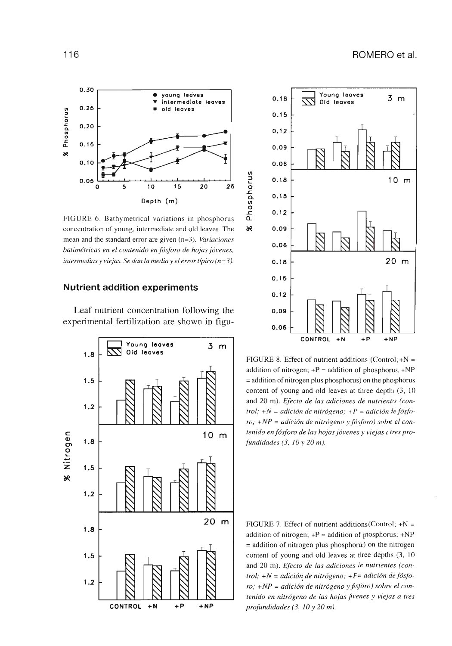

FIGURE 6. Bathymetrical variations in phosphorus concentration of young, intermediate and old leaves. The mean and the standard error are given (n=3). *Variaciones batimétricas en el contenido en fósforo de hojas jóvenes, intermedias y viejas. Se dan la media y el error típico (n=3).*

#### **Nutrient addition experiments**

Leaf nutrient concentration following the experimental fertilization are shown in figu-





 $\lambda$ 

FIGURE 8. Effect of nutrient additions (Control;  $+N =$ addition of nitrogen;  $+P =$  addition of phosphorus;  $+NP$ = addition of nitrogen plus phosphorus) on the phosphorus content of young and old leaves at three depthi (3, 10) and 20 m). *Efecto de las adiciones de nutrienrs (control; +N = adición de nitrógeno; +P = adición le fósforo*; +NP = adición de nitrógeno y fósforo) sobre el con*tenido en fósforo de las hojas jóvenes y viejas c tres profundidades (3, 10 y 20 m).*

FIGURE 7. Effect of nutrient additions (Control;  $+N =$ addition of nitrogen;  $+P =$  addition of mosphorus;  $+NP$  $=$  addition of nitrogen plus phosphorw) on the nitrogen content of young and old leaves at tlree depths (3, 10 and 20 m). *Efecto de las adiciones le nutrientes (control; +N = adición de nitrógeno; +F= adición de fósforo; +NP = adición de nitrógeno y fisforo) sobre el contenido en nitrógeno de las hojas jivenes y viejas a tres profundidades (3, 10 y 20 m).*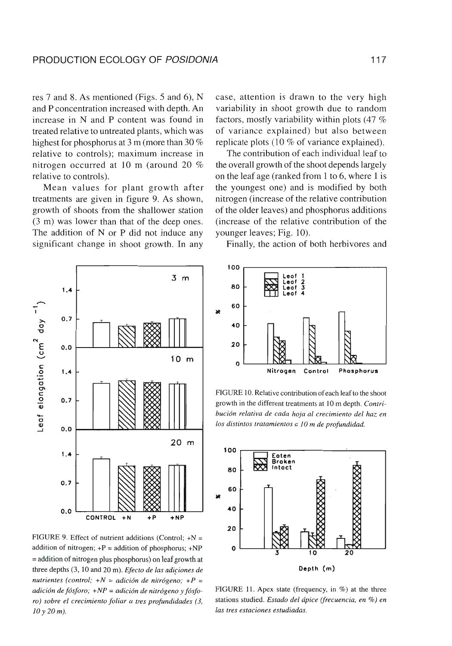res 7 and 8. As mentioned (Figs. 5 and 6), N and P concentration increased with depth. An increase in N and P content was found in treated relative to untreated plants, which was highest for phosphorus at 3 m (more than 30 % relative to controls); maximum increase in nitrogen occurred at 10 m (around 20 % relative to controls).

Mean values for plant growth after treatments are given in figure 9. As shown, growth of shoots from the shallower station (3 m) was lower than that of the deep ones. The addition of N or P did not induce any significant change in shoot growth. In any

case, attention is drawn to the very high variability in shoot growth due to random factors, mostly variability within plots (47 % of variance explained) but also between replicate plots (10 % of variance explained).

The contribution of each individual leaf to the overall growth of the shoot depends largely on the leaf age (ranked from 1 to 6, where 1 is the youngest one) and is modified by both nitrogen (increase of the relative contribution of the older leaves) and phosphorus additions (increase of the relative contribution of the younger leaves; Fig. 10).

Finally, the action of both herbivores and



FIGURE 9. Effect of nutrient additions (Control;  $+N =$ addition of nitrogen;  $+P =$  addition of phosphorus;  $+NP$ = addition of nitrogen plus phosphorus) on leaf growth at three depths (3, 10 and 20 m). *Efecto de las adiciones de nutrientes (control; +N = adición de nitrógeno; +P = adición de fósforo; +NP = adición de nitrógeno* y *fósforo) sobre el crecimiento foliar a tres profundidades (3, 10y20m).*



FIGURE 10. Relative contribution of each leaf to the shoot growth in the different treatments at 10 m depth. *Contribución relativa de cada hoja al crecimiento del haz en* los *distintos tratamientos a 10 m de profundidad.*



FIGURE 11. Apex state (frequency, in %) at the three stations studied. *Estado del ápice (frecuencia, en %) en las tres estaciones estudiadas.*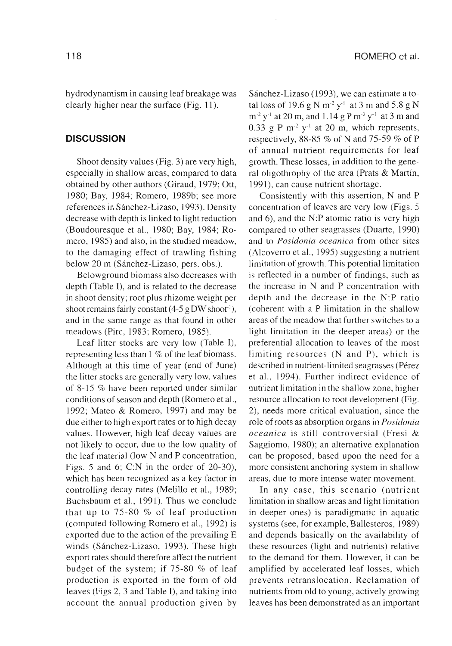hydrodynamism in causing leaf breakage was clearly higher near the surface (Fig. 11).

### **DISCUSSION**

Shoot density values (Fig. 3) are very high, especially in shallow areas, compared to data obtained by other authors (Giraud, 1979; Ott, 1980; Bay, 1984; Romero, 1989b; see more references in Sánchez-Lizaso, 1993). Density decrease with depth is linked to light reduction (Boudouresque et al., 1980; Bay, 1984; Romero, 1985) and also, in the studied meadow, to the damaging effect of trawling fishing below 20 m (Sánchez-Lizaso, pers. obs.).

Belowground biomass also decreases with depth (Table I), and is related to the decrease in shoot density; root plus rhizome weight per shoot remains fairly constant  $(4-5 \text{ g DW shoot}^{-1})$ , and in the same range as that found in other meadows (Pirc, 1983; Romero, 1985).

Leaf litter stocks are very low (Table I), representing less than 1 % of the leaf biomass. Although at this time of year (end of June) the litter stocks are generally very low, values of 8-15 % have been reported under similar conditions of season and depth (Romero et al., 1992; Mateo & Romero, 1997) and may be due either to high export rates or to high decay values. However, high leaf decay values are not likely to occur, due to the low quality of the leaf material (low N and P concentration, Figs. 5 and 6; C:N in the order of 20-30), which has been recognized as a key factor in controlling decay rates (Melillo et al., 1989; Buchsbaum et al., 1991). Thus we conclude that up to 75-80 % of leaf production (computed following Romero et al., 1992) is exported due to the action of the prevailing E winds (Sánchez-Lizaso, 1993). These high export rates should therefore affect the nutrient budget of the system; if 75-80 % of leaf production is exported in the form of old leaves (Figs 2, 3 and Table I), and taking into account the annual production given by Sánchez-Lizaso (1993), we can estimate a total loss of 19.6 g N  $m^2 y^+$  at 3 m and 5.8 g N  $m<sup>-2</sup> y<sup>-1</sup>$  at 20 m, and 1.14 g P m<sup>-2</sup> y<sup>-1</sup> at 3 m and 0.33 g P  $m<sup>-2</sup>$  y<sup>-1</sup> at 20 m, which represents, respectively, 88-85 % of N and 75-59 % of P of annual nutrient requirements for leaf growth. These losses, in addition to the general oligothrophy of the area (Prats & Martín, 1991), can cause nutrient shortage.

Consistently with this assertion, N and P concentration of leaves are very low (Figs. 5 and 6), and the N:P atomic ratio is very high compared to other seagrasses (Duarte, 1990) and to *Posidonia oceanica* from other sites (Alcoverro et al., 1995) suggesting a nutrient limitation of growth. This potential limitation is reflected in a number of findings, such as the increase in N and P concentration with depth and the decrease in the N:P ratio (coherent with a P limitation in the shallow areas of the meadow that further switches to a light limitation in the deeper areas) or the preferential allocation to leaves of the most limiting resources (N and P), which is described in nutrient-limited seagrasses (Pérez et al., 1994). Further indirect evidence of nutrient limitation in the shallow zone, higher resource allocation to root development (Fig. 2), needs more critical evaluation, since the role of roots as absorption organs in *Posidonia oceanica* is still controversial (Fresi & Saggiomo, 1980); an alternative explanation can be proposed, based upon the need for a more consistent anchoring system in shallow areas, due to more intense water movement.

In any case, this scenario (nutrient limitation in shallow areas and light limitation in deeper ones) is paradigmatic in aquatic systems (see, for example, Ballesteros, 1989) and depends basically on the availability of these resources (light and nutrients) relative to the demand for them. However, it can be amplified by accelerated leaf losses, which prevents retranslocation. Reclamation of nutrients from old to young, actively growing leaves has been demonstrated as an important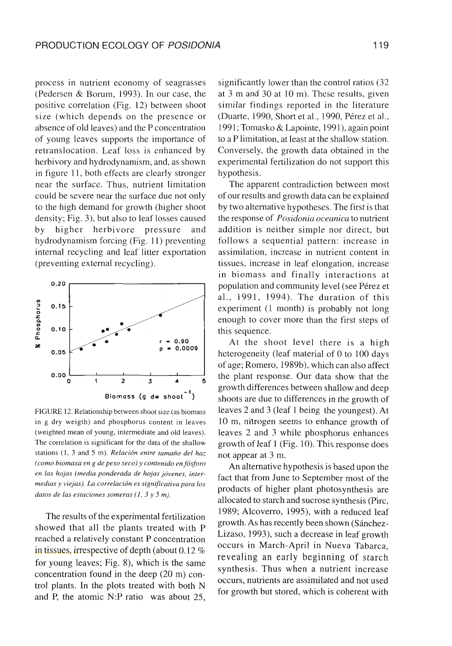process in nutrient economy of seagrasses (Pedersen & Borum, 1993). In our case, the positive correlation (Fig. 12) between shoot size (which depends on the presence or absence of old leaves) and the P concentration of young leaves supports the importance of retranslocation. Leaf loss is enhanced by herbivory and hydrodynamism, and, as shown in figure 11, both effects are clearly stronger near the surface. Thus, nutrient limitation could be severe near the surface due not only to the high demand for growth (higher shoot density; Fig. 3), but also to leaf losses caused by higher herbivore pressure and hydrodynamism forcing (Fig. 11) preventing internal recycling and leaf litter exportation (preventing external recycling).



FIGURE 12. Relationship between shoot size (as biomass in g dry weigth) and phosphorus content in leaves (weighted mean of young, intermediate and old leaves). The correlation is significant for the data of the shallow stations (1, 3 and 5 m). *Relación entre tamaño del haz (como biomasa en g de peso seco) y contenido en fósforo en las hojas (media ponderada de hojas jóvenes, intermedias y viejas). La correlación es significativa para los datos de las estaciones someras (1, 3 y 5 m).* 

The results of the experimental fertilization showed that all the plants treated with P reached a relatively constant P concentration in tissues, irrespective of depth (about 0.12 % for young leaves; Fig. 8), which is the same concentration found in the deep (20 m) control plants. In the plots treated with both N and P, the atomic N:P ratio was about 25, significantly lower than the control ratios (32 at 3 m and 30 at 10 m). These results, given similar findings reported in the literature (Duarte, 1990, Short et al., 1990, Pérez et al., 1991; Tomasko & Lapointe, 1991), again point to a P limitation, at least at the shallow station. Conversely, the growth data obtained in the experimental fertilization do not support this hypothesis.

The apparent contradiction between most of our results and growth data can be explained by two alternative hypotheses. The first is that the response of *Posidonia oceanica* to nutrient addition is neither simple nor direct, but follows a sequential pattern: increase in assimilation, increase in nutrient content in tissues, increase in leaf elongation, increase in biomass and finally interactions at population and community level (see Pérez et al., 1991, 1994). The duration of this experiment (1 month) is probably not long enough to cover more than the first steps of this sequence.

At the shoot level there is a high heterogeneity (leaf material of O to 100 days of age; Romero, 1989b), which can also affect the plant response. Our data show that the growth differences between shallow and deep shoots are due to differences in the growth of leaves 2 and 3 (leaf 1 being the youngest). At 10 m, nitrogen seems to enhance growth of leaves 2 and 3 while phosphorus enhances growth of leaf 1 (Fig. 10). This response does not appear at 3 m.

An alternative hypothesis is based upon the fact that from June to September most of the products of higher plant photosynthesis are allocated to starch and sucrose synthesis (Pirc, 1989; Alcoverro, 1995), with a reduced leaf growth. As has recently been shown (Sánchez-Lizaso, 1993), such a decrease in leaf growth occurs in March-April in Nueva Tabarca, revealing an early beginning of starch synthesis. Thus when a nutrient increase occurs, nutrients are assimilated and not used for growth but stored, which is coherent with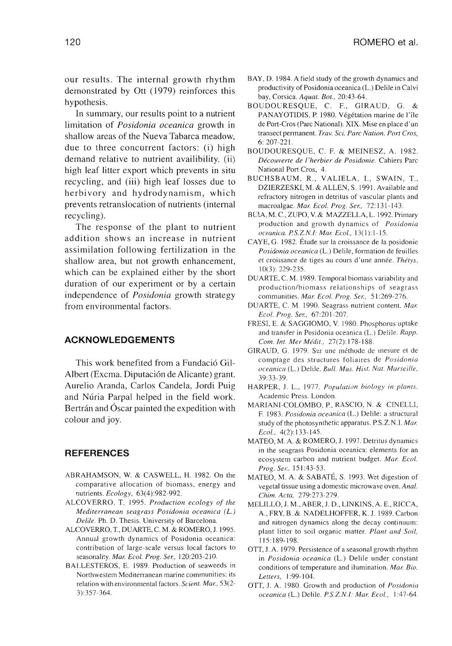our results. The internal growth rhythm demonstrated by Ott (1979) reinforces this hypothesis.

In summary, our results point to a nutrient limitation of *Posidonia oceanica* growth in shallow areas of the Nueva Tabarca meadow, due to three concurrent factors: (i) high demand relative to nutrient availibility. (ii) high leaf litter export which prevents in situ recycling, and (iii) high leaf losses due to herbivory and hydrodynamism, which prevents retranslocation of nutrients (internal recycling).

The response of the plant to nutrient addition shows an increase in nutrient assimilation following fertilization in the shallow area, but not growth enhancement, which can be explained either by the short duration of our experiment or by a certain independence of *Posidonia* growth strategy from environmental factors.

#### **ACKNOWLEDGEMENTS**

This work benefited from a Fundació Gil-Albert (Excma. Diputación de Alicante) grant. Aurelio Aranda, Carlos Candela, Jordi Puig and Núria Parpal helped in the field work. Bertrán and Óscar painted the expedition with colour and joy.

## **REFERENCES**

- ABRAHAMSON, W. & CASWELL, H. 1982. On the comparative allocation of biomass, energy and nutrients. *Ecology,* 63(4):982-992.
- ALCOVERRO, T. 1995. *Production ecology of the Mediterranean seagrass Posidonia oceanica (L.) Delile.* Ph. D. Thesis. University of Barcelona.
- ALCOVERRO, T., DUARTE, C. M. & ROMERO, J. 1995. Annual growth dynamics of Posidonia oceanica: contribution of large-scale versus local factors to seasonality. *Mar. Ecol. Prog. Ser,* 120:203-210.
- BALLESTEROS, E. 1989. Production of seaweeds in Northwestern Mediterranean marine communities: its relation with environmental factors. *Scient. Mar,* 53(2- 3):357-364.
- BAY, D. 1984. A field study of the growth dynamics and productivity of Posidonia oceanica (L.) Delile in Calvi bay, Corsica. *Aquat. Bot.,* 20:43-64.
- BOUDOURESQUE, C. F., GIRAUD, G. & PANAYOTIDIS, P. 1980. Végétation marine de l'ile de Port-Cros (Parc National). XIX. Mise en place d'un transect permanent. *Trav. Sci. Parc Nation. Port Cros,* 6: 207-221.
- BOUDOURESQUE, C. F. & MEINESZ, A. 1982. *Découverte de l'herbier de Posidonie.* Cahiers Parc National Port Cros, 4.
- BUCHSBAUM, R., VALIELA, I., SWAIN, T., DZIERZESKI, M. & ALLEN, S. 1991. Available and refractory nitrogen in detritus of vascular plants and macroalgae. *Mar. Ecol. Prog. Ser,* 72:131-143.
- BUIA, M. C., ZUPO, V. & MAZZELLA, L. 1992. Primary production and growth dynamics of *Posidonia oceanica. P.S.Z.N.I: Mar. Ecol.,* 13(1):1-15.
- CAYE, G. 1982. Étude sur la croissance de la posidonie *Posidonia oceanica* (L.) Delile, formation de feuilles et croissance de tiges au cours d'une année. *Thétys,* 10(3): 229-235.
- DUARTE, C. M. 1989. Temporal biomass variability and production/biomass relationships of seagrass communities. *Mar. Ecol. Prog. Ser,* 51:269-276.
- DUARTE, C. M. 1990. Seagrass nutrient content. *Mar. Ecol. Prog. Ser,* 67:201-207.
- FRESI, E. & SAGGIOMO, V. 1980. Phosphorus uptake and transfer in Posidonia oceanica (L.) Delile. *Rapp. Com. Int. Mer Médit.,* 27(2):178-188.
- GIRAUD, G. 1979. Sur une méthode de mesure et de comptage des structures foliaires de *Posidonia oceanica* (L.) Delile. *Bull. Mus. Hist. Nat. Marseille,* 39:33-39.
- HARPER, J. L., 1977. *Population biology in plants.* Academic Press. London.
- MARIANI-COLOMBO, P., RASCIO, N. & CINELLI, F. 1983. *Posidonia oceanica* (L.) Delile: a structural study of the photosynthetic apparatus. P.S.Z.N.I. *Mar. Ecol.,* 4(2):133-145.
- MATEO, M. A. & ROMERO, J. 1997. Detritus dynamics in the seagrass Posidonia oceanica: elements for an ecosystem carbon and nutrient budget. *Mar. Ecol. Prog. Ser,* 151:43-53.
- MATEO, M. A. & SABATÉ, S. 1993. Wet digestion of vegetal tissue using a domestic microwave oven. *Anal. Chim. Acta,* 279:273-279.
- MELILLO, J. M., ABER, J. D., LINKINS, A. E., RICCA, A., FRY, B. & NADELHOFFER, K. J. 1989. Carbon and nitrogen dynamics along the decay continuum: plant litter to soil organic matter. *Plant and Soil,* 115:189-198.
- OTT, J. A. 1979. Persistence of a seasonal growth rhythm in *Posidonia oceanica* (L.) Delile under constant conditions of temperature and ilumination. *Mar. Bio. Letters,* 1:99-104.
- OTT, J. A. 1980. Growth and production of *Posidonia oceanica* (L.) Delile. *P.S.Z.N.I: Mar. Ecol.,* 1:47-64.